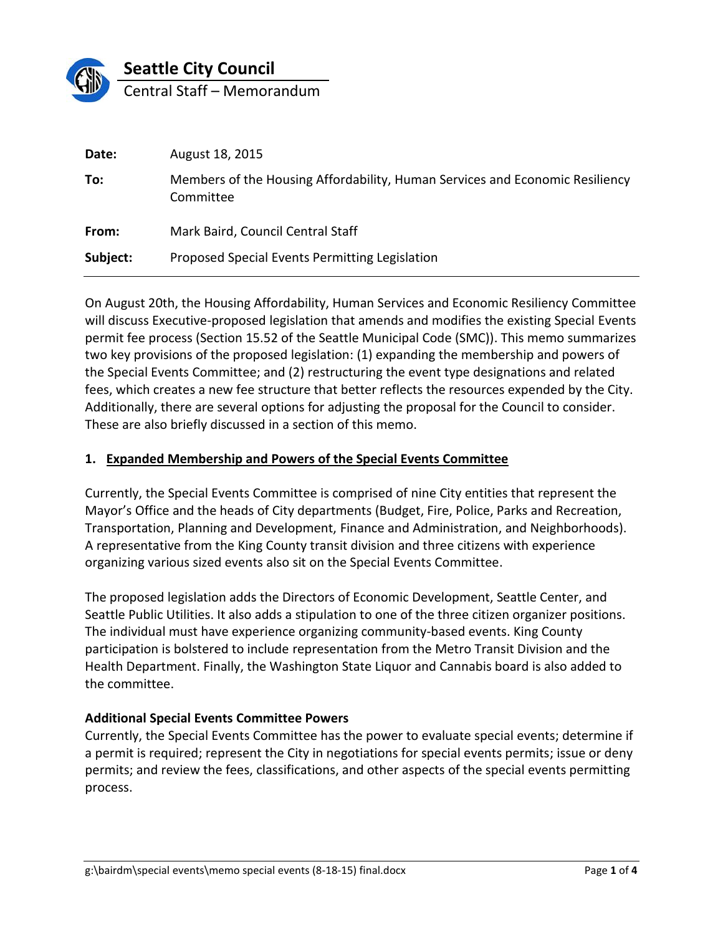

**Seattle City Council**

Central Staff – Memorandum

| Date:    | August 18, 2015                                                                           |
|----------|-------------------------------------------------------------------------------------------|
| To:      | Members of the Housing Affordability, Human Services and Economic Resiliency<br>Committee |
| From:    | Mark Baird, Council Central Staff                                                         |
| Subject: | Proposed Special Events Permitting Legislation                                            |

On August 20th, the Housing Affordability, Human Services and Economic Resiliency Committee will discuss Executive-proposed legislation that amends and modifies the existing Special Events permit fee process (Section 15.52 of the Seattle Municipal Code (SMC)). This memo summarizes two key provisions of the proposed legislation: (1) expanding the membership and powers of the Special Events Committee; and (2) restructuring the event type designations and related fees, which creates a new fee structure that better reflects the resources expended by the City. Additionally, there are several options for adjusting the proposal for the Council to consider. These are also briefly discussed in a section of this memo.

#### **1. Expanded Membership and Powers of the Special Events Committee**

Currently, the Special Events Committee is comprised of nine City entities that represent the Mayor's Office and the heads of City departments (Budget, Fire, Police, Parks and Recreation, Transportation, Planning and Development, Finance and Administration, and Neighborhoods). A representative from the King County transit division and three citizens with experience organizing various sized events also sit on the Special Events Committee.

The proposed legislation adds the Directors of Economic Development, Seattle Center, and Seattle Public Utilities. It also adds a stipulation to one of the three citizen organizer positions. The individual must have experience organizing community-based events. King County participation is bolstered to include representation from the Metro Transit Division and the Health Department. Finally, the Washington State Liquor and Cannabis board is also added to the committee.

#### **Additional Special Events Committee Powers**

Currently, the Special Events Committee has the power to evaluate special events; determine if a permit is required; represent the City in negotiations for special events permits; issue or deny permits; and review the fees, classifications, and other aspects of the special events permitting process.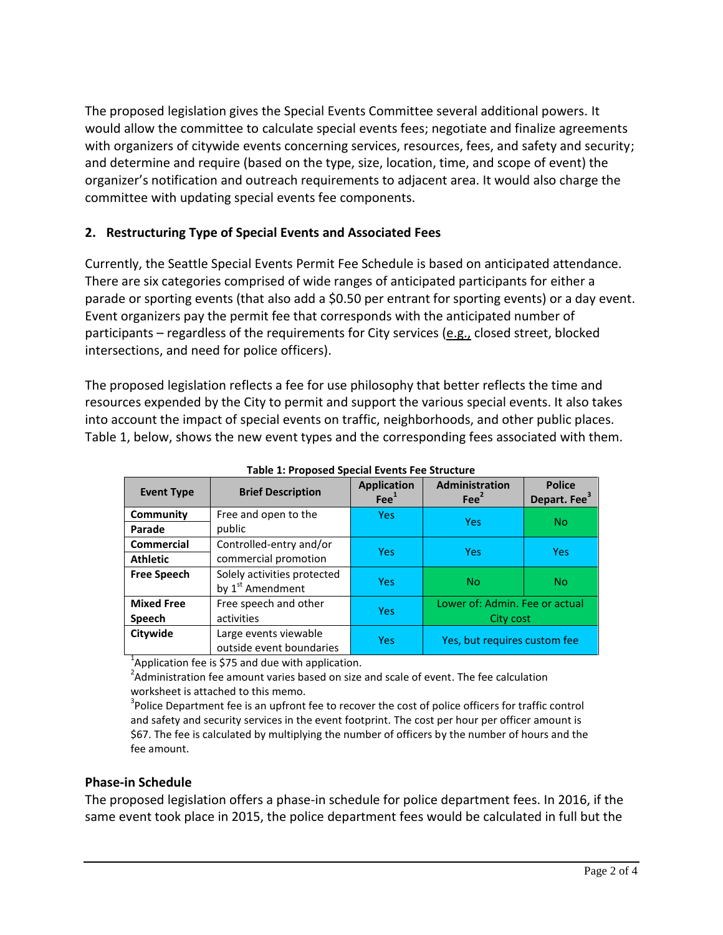The proposed legislation gives the Special Events Committee several additional powers. It would allow the committee to calculate special events fees; negotiate and finalize agreements with organizers of citywide events concerning services, resources, fees, and safety and security; and determine and require (based on the type, size, location, time, and scope of event) the organizer's notification and outreach requirements to adjacent area. It would also charge the committee with updating special events fee components.

# **2. Restructuring Type of Special Events and Associated Fees**

Currently, the Seattle Special Events Permit Fee Schedule is based on anticipated attendance. There are six categories comprised of wide ranges of anticipated participants for either a parade or sporting events (that also add a \$0.50 per entrant for sporting events) or a day event. Event organizers pay the permit fee that corresponds with the anticipated number of participants – regardless of the requirements for City services (e.g., closed street, blocked intersections, and need for police officers).

The proposed legislation reflects a fee for use philosophy that better reflects the time and resources expended by the City to permit and support the various special events. It also takes into account the impact of special events on traffic, neighborhoods, and other public places. Table 1, below, shows the new event types and the corresponding fees associated with them.

| <b>Event Type</b>  | <b>Brief Description</b>     | <b>Application</b><br>$\text{Fe}^1$ | <b>Administration</b><br>Fe <sup>2</sup>    | <b>Police</b><br>Depart. Fee <sup>3</sup> |
|--------------------|------------------------------|-------------------------------------|---------------------------------------------|-------------------------------------------|
| Community          | Free and open to the         | <b>Yes</b>                          | <b>Yes</b>                                  | <b>No</b>                                 |
| Parade             | public                       |                                     |                                             |                                           |
| <b>Commercial</b>  | Controlled-entry and/or      | <b>Yes</b>                          | Yes                                         | <b>Yes</b>                                |
| <b>Athletic</b>    | commercial promotion         |                                     |                                             |                                           |
| <b>Free Speech</b> | Solely activities protected  | <b>Yes</b>                          | <b>No</b>                                   | <b>No</b>                                 |
|                    | by 1 <sup>st</sup> Amendment |                                     |                                             |                                           |
| <b>Mixed Free</b>  | Free speech and other        | <b>Yes</b>                          | Lower of: Admin. Fee or actual<br>City cost |                                           |
| Speech             | activities                   |                                     |                                             |                                           |
| Citywide           | Large events viewable        | <b>Yes</b>                          | Yes, but requires custom fee                |                                           |
|                    | outside event boundaries     |                                     |                                             |                                           |

**Table 1: Proposed Special Events Fee Structure**

<sup>1</sup>Application fee is \$75 and due with application.

 $^2$ Administration fee amount varies based on size and scale of event. The fee calculation worksheet is attached to this memo.

 $3$ Police Department fee is an upfront fee to recover the cost of police officers for traffic control and safety and security services in the event footprint. The cost per hour per officer amount is \$67. The fee is calculated by multiplying the number of officers by the number of hours and the fee amount.

### **Phase-in Schedule**

The proposed legislation offers a phase-in schedule for police department fees. In 2016, if the same event took place in 2015, the police department fees would be calculated in full but the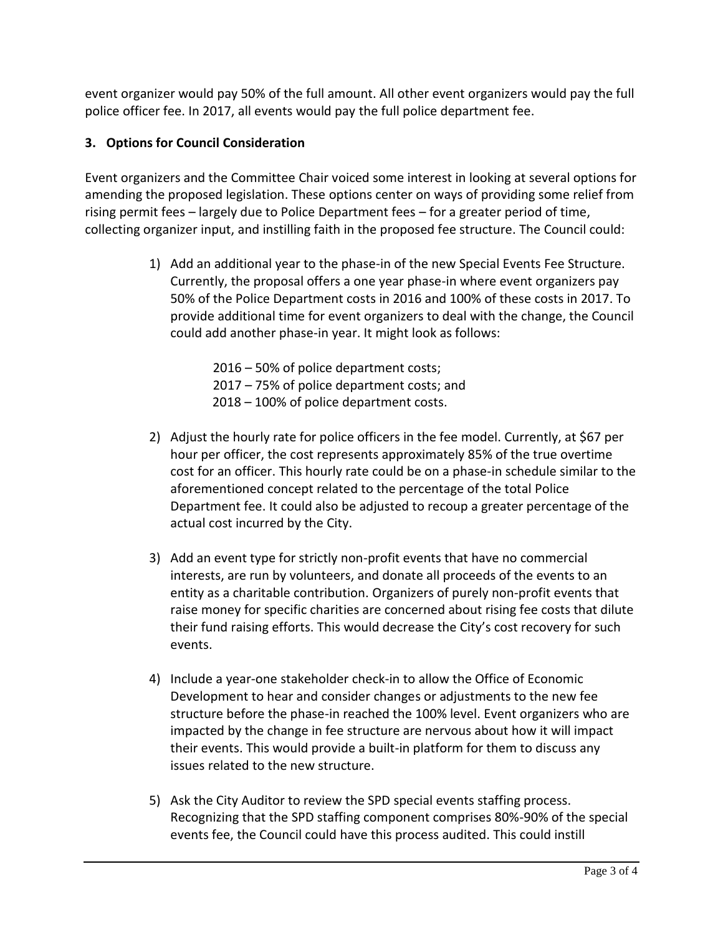event organizer would pay 50% of the full amount. All other event organizers would pay the full police officer fee. In 2017, all events would pay the full police department fee.

# **3. Options for Council Consideration**

Event organizers and the Committee Chair voiced some interest in looking at several options for amending the proposed legislation. These options center on ways of providing some relief from rising permit fees – largely due to Police Department fees – for a greater period of time, collecting organizer input, and instilling faith in the proposed fee structure. The Council could:

> 1) Add an additional year to the phase-in of the new Special Events Fee Structure. Currently, the proposal offers a one year phase-in where event organizers pay 50% of the Police Department costs in 2016 and 100% of these costs in 2017. To provide additional time for event organizers to deal with the change, the Council could add another phase-in year. It might look as follows:

> > 2016 – 50% of police department costs; 2017 – 75% of police department costs; and 2018 – 100% of police department costs.

- 2) Adjust the hourly rate for police officers in the fee model. Currently, at \$67 per hour per officer, the cost represents approximately 85% of the true overtime cost for an officer. This hourly rate could be on a phase-in schedule similar to the aforementioned concept related to the percentage of the total Police Department fee. It could also be adjusted to recoup a greater percentage of the actual cost incurred by the City.
- 3) Add an event type for strictly non-profit events that have no commercial interests, are run by volunteers, and donate all proceeds of the events to an entity as a charitable contribution. Organizers of purely non-profit events that raise money for specific charities are concerned about rising fee costs that dilute their fund raising efforts. This would decrease the City's cost recovery for such events.
- 4) Include a year-one stakeholder check-in to allow the Office of Economic Development to hear and consider changes or adjustments to the new fee structure before the phase-in reached the 100% level. Event organizers who are impacted by the change in fee structure are nervous about how it will impact their events. This would provide a built-in platform for them to discuss any issues related to the new structure.
- 5) Ask the City Auditor to review the SPD special events staffing process. Recognizing that the SPD staffing component comprises 80%-90% of the special events fee, the Council could have this process audited. This could instill